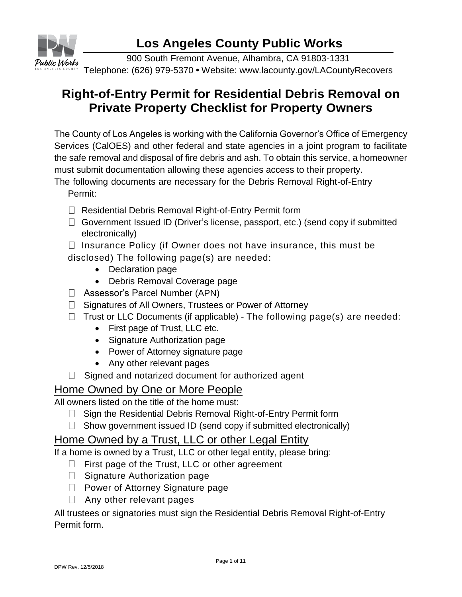

900 South Fremont Avenue, Alhambra, CA 91803-1331 Telephone: (626) 979-5370 **•** Website: www.lacounty.gov/LACountyRecovers

#### **Right-of-Entry Permit for Residential Debris Removal on Private Property Checklist for Property Owners**

The County of Los Angeles is working with the California Governor's Office of Emergency Services (CalOES) and other federal and state agencies in a joint program to facilitate the safe removal and disposal of fire debris and ash. To obtain this service, a homeowner must submit documentation allowing these agencies access to their property.

The following documents are necessary for the Debris Removal Right-of-Entry Permit:

- □ Residential Debris Removal Right-of-Entry Permit form
- $\Box$  Government Issued ID (Driver's license, passport, etc.) (send copy if submitted electronically)
- $\Box$  Insurance Policy (if Owner does not have insurance, this must be disclosed) The following page(s) are needed:
	- Declaration page
	- Debris Removal Coverage page
- Assessor's Parcel Number (APN)
- $\Box$  Signatures of All Owners, Trustees or Power of Attorney
- $\Box$  Trust or LLC Documents (if applicable) The following page(s) are needed:
	- First page of Trust, LLC etc.
	- Signature Authorization page
	- Power of Attorney signature page
	- Any other relevant pages
- $\Box$  Signed and notarized document for authorized agent

#### Home Owned by One or More People

All owners listed on the title of the home must:

- $\Box$  Sign the Residential Debris Removal Right-of-Entry Permit form
- $\Box$  Show government issued ID (send copy if submitted electronically)

#### Home Owned by a Trust, LLC or other Legal Entity

If a home is owned by a Trust, LLC or other legal entity, please bring:

- $\Box$  First page of the Trust, LLC or other agreement
- $\Box$  Signature Authorization page
- $\Box$  Power of Attorney Signature page
- $\Box$  Any other relevant pages

All trustees or signatories must sign the Residential Debris Removal Right-of-Entry Permit form.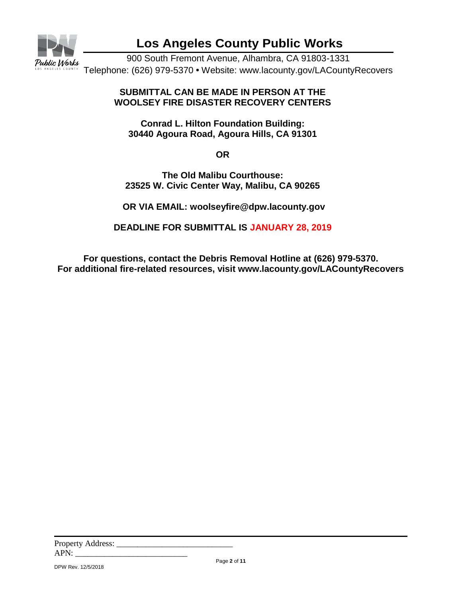

900 South Fremont Avenue, Alhambra, CA 91803-1331 Telephone: (626) 979-5370 **•** Website: www.lacounty.gov/LACountyRecovers

#### **SUBMITTAL CAN BE MADE IN PERSON AT THE WOOLSEY FIRE DISASTER RECOVERY CENTERS**

**Conrad L. Hilton Foundation Building: 30440 Agoura Road, Agoura Hills, CA 91301**

**OR**

**The Old Malibu Courthouse: 23525 W. Civic Center Way, Malibu, CA 90265**

**OR VIA EMAIL: [woolseyfire@dpw.lacounty.gov](mailto:woolseyfire@dpw.lacounty.gov)**

**DEADLINE FOR SUBMITTAL IS JANUARY 28, 2019**

**For questions, contact the Debris Removal Hotline at (626) 979-5370. For additional fire-related resources, visit www.lacounty.gov/LACountyRecovers**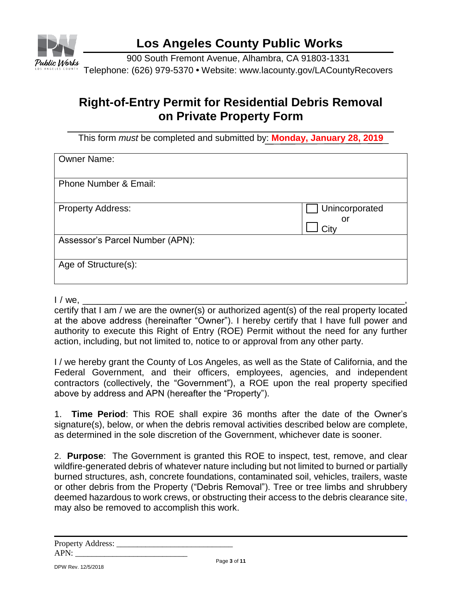

900 South Fremont Avenue, Alhambra, CA 91803-1331 Telephone: (626) 979-5370 **•** Website: www.lacounty.gov/LACountyRecovers

## **Right-of-Entry Permit for Residential Debris Removal on Private Property Form**

This form *must* be completed and submitted by: **Monday, January 28, 2019**

| <b>Owner Name:</b>               |                              |
|----------------------------------|------------------------------|
| <b>Phone Number &amp; Email:</b> |                              |
| <b>Property Address:</b>         | Unincorporated<br>or<br>Citv |
| Assessor's Parcel Number (APN):  |                              |
| Age of Structure(s):             |                              |

I / we, \_\_\_\_\_\_\_\_\_\_\_\_\_\_\_\_\_\_\_\_\_\_\_\_\_\_\_\_\_\_\_\_\_\_\_\_\_\_\_\_\_\_\_\_\_\_\_\_\_\_\_\_\_\_\_\_\_\_\_\_\_\_\_\_,

certify that I am / we are the owner(s) or authorized agent(s) of the real property located at the above address (hereinafter "Owner"). I hereby certify that I have full power and authority to execute this Right of Entry (ROE) Permit without the need for any further action, including, but not limited to, notice to or approval from any other party.

I / we hereby grant the County of Los Angeles, as well as the State of California, and the Federal Government, and their officers, employees, agencies, and independent contractors (collectively, the "Government"), a ROE upon the real property specified above by address and APN (hereafter the "Property").

1. **Time Period**: This ROE shall expire 36 months after the date of the Owner's signature(s), below, or when the debris removal activities described below are complete, as determined in the sole discretion of the Government, whichever date is sooner.

2. **Purpose**: The Government is granted this ROE to inspect, test, remove, and clear wildfire-generated debris of whatever nature including but not limited to burned or partially burned structures, ash, concrete foundations, contaminated soil, vehicles, trailers, waste or other debris from the Property ("Debris Removal"). Tree or tree limbs and shrubbery deemed hazardous to work crews, or obstructing their access to the debris clearance site, may also be removed to accomplish this work.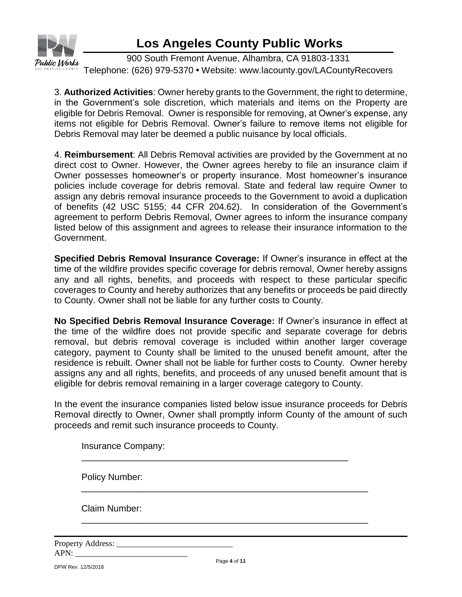

900 South Fremont Avenue, Alhambra, CA 91803-1331 Telephone: (626) 979-5370 **•** Website: www.lacounty.gov/LACountyRecovers

3. **Authorized Activities**: Owner hereby grants to the Government, the right to determine, in the Government's sole discretion, which materials and items on the Property are eligible for Debris Removal. Owner is responsible for removing, at Owner's expense, any items not eligible for Debris Removal. Owner's failure to remove items not eligible for Debris Removal may later be deemed a public nuisance by local officials.

4. **Reimbursement**: All Debris Removal activities are provided by the Government at no direct cost to Owner. However, the Owner agrees hereby to file an insurance claim if Owner possesses homeowner's or property insurance. Most homeowner's insurance policies include coverage for debris removal. State and federal law require Owner to assign any debris removal insurance proceeds to the Government to avoid a duplication of benefits (42 USC 5155; 44 CFR 204.62). In consideration of the Government's agreement to perform Debris Removal, Owner agrees to inform the insurance company listed below of this assignment and agrees to release their insurance information to the Government.

**Specified Debris Removal Insurance Coverage:** If Owner's insurance in effect at the time of the wildfire provides specific coverage for debris removal, Owner hereby assigns any and all rights, benefits, and proceeds with respect to these particular specific coverages to County and hereby authorizes that any benefits or proceeds be paid directly to County. Owner shall not be liable for any further costs to County.

**No Specified Debris Removal Insurance Coverage:** If Owner's insurance in effect at the time of the wildfire does not provide specific and separate coverage for debris removal, but debris removal coverage is included within another larger coverage category, payment to County shall be limited to the unused benefit amount, after the residence is rebuilt. Owner shall not be liable for further costs to County. Owner hereby assigns any and all rights, benefits, and proceeds of any unused benefit amount that is eligible for debris removal remaining in a larger coverage category to County.

In the event the insurance companies listed below issue insurance proceeds for Debris Removal directly to Owner, Owner shall promptly inform County of the amount of such proceeds and remit such insurance proceeds to County.

\_\_\_\_\_\_\_\_\_\_\_\_\_\_\_\_\_\_\_\_\_\_\_\_\_\_\_\_\_\_\_\_\_\_\_\_\_\_\_\_\_\_\_\_\_\_\_\_\_\_\_\_\_

\_\_\_\_\_\_\_\_\_\_\_\_\_\_\_\_\_\_\_\_\_\_\_\_\_\_\_\_\_\_\_\_\_\_\_\_\_\_\_\_\_\_\_\_\_\_\_\_\_\_\_\_\_\_\_\_\_

\_\_\_\_\_\_\_\_\_\_\_\_\_\_\_\_\_\_\_\_\_\_\_\_\_\_\_\_\_\_\_\_\_\_\_\_\_\_\_\_\_\_\_\_\_\_\_\_\_\_\_\_\_\_\_\_\_

Insurance Company:

Policy Number:

Claim Number:

Property Address:  $APN:$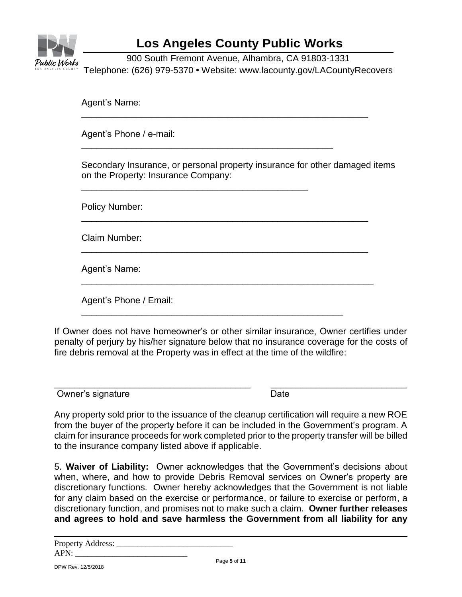

900 South Fremont Avenue, Alhambra, CA 91803-1331 Telephone: (626) 979-5370 **•** Website: www.lacounty.gov/LACountyRecovers

\_\_\_\_\_\_\_\_\_\_\_\_\_\_\_\_\_\_\_\_\_\_\_\_\_\_\_\_\_\_\_\_\_\_\_\_\_\_\_\_\_\_\_\_\_\_\_\_\_\_\_\_\_\_\_\_\_

\_\_\_\_\_\_\_\_\_\_\_\_\_\_\_\_\_\_\_\_\_\_\_\_\_\_\_\_\_\_\_\_\_\_\_\_\_\_\_\_\_\_\_\_\_\_\_\_\_\_\_\_\_\_\_\_\_

\_\_\_\_\_\_\_\_\_\_\_\_\_\_\_\_\_\_\_\_\_\_\_\_\_\_\_\_\_\_\_\_\_\_\_\_\_\_\_\_\_\_\_\_\_\_\_\_\_\_\_\_\_\_\_\_\_

\_\_\_\_\_\_\_\_\_\_\_\_\_\_\_\_\_\_\_\_\_\_\_\_\_\_\_\_\_\_\_\_\_\_\_\_\_\_\_\_\_\_\_\_\_\_\_\_\_\_\_\_\_\_\_\_\_\_

\_\_\_\_\_\_\_\_\_\_\_\_\_\_\_\_\_\_\_\_\_\_\_\_\_\_\_\_\_\_\_\_\_\_\_\_\_\_\_\_\_\_\_\_\_\_\_\_\_\_\_\_

\_\_\_\_\_\_\_\_\_\_\_\_\_\_\_\_\_\_\_\_\_\_\_\_\_\_\_\_\_\_\_\_\_\_\_\_\_\_\_\_\_\_\_\_\_\_\_\_\_\_

\_\_\_\_\_\_\_\_\_\_\_\_\_\_\_\_\_\_\_\_\_\_\_\_\_\_\_\_\_\_\_\_\_\_\_\_\_\_\_\_\_\_\_\_\_

Agent's Name:

Agent's Phone / e-mail:

Secondary Insurance, or personal property insurance for other damaged items on the Property: Insurance Company:

Policy Number:

Claim Number:

Agent's Name:

Agent's Phone / Email:

If Owner does not have homeowner's or other similar insurance, Owner certifies under penalty of perjury by his/her signature below that no insurance coverage for the costs of fire debris removal at the Property was in effect at the time of the wildfire:

 $\overline{\phantom{a}}$  , and the contribution of the contribution of the contribution of the contribution of the contribution of the contribution of the contribution of the contribution of the contribution of the contribution of the Owner's signature Date Date

Any property sold prior to the issuance of the cleanup certification will require a new ROE from the buyer of the property before it can be included in the Government's program. A claim for insurance proceeds for work completed prior to the property transfer will be billed to the insurance company listed above if applicable.

5. **Waiver of Liability:** Owner acknowledges that the Government's decisions about when, where, and how to provide Debris Removal services on Owner's property are discretionary functions. Owner hereby acknowledges that the Government is not liable for any claim based on the exercise or performance, or failure to exercise or perform, a discretionary function, and promises not to make such a claim. **Owner further releases and agrees to hold and save harmless the Government from all liability for any** 

| <b>Property Address:</b> |  |
|--------------------------|--|
| APN:                     |  |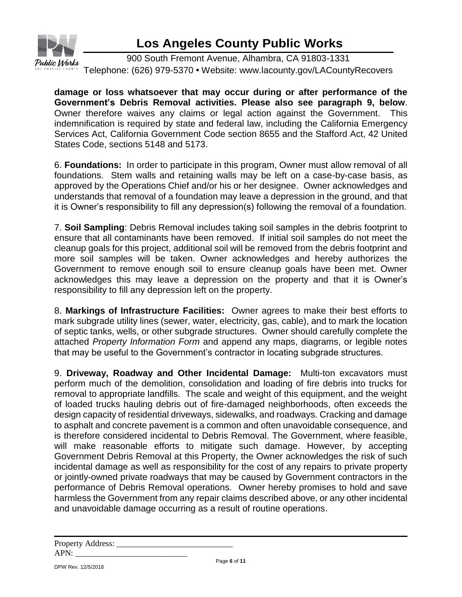

900 South Fremont Avenue, Alhambra, CA 91803-1331 Telephone: (626) 979-5370 **•** Website: www.lacounty.gov/LACountyRecovers

**damage or loss whatsoever that may occur during or after performance of the Government's Debris Removal activities. Please also see paragraph 9, below**. Owner therefore waives any claims or legal action against the Government. This indemnification is required by state and federal law, including the California Emergency Services Act, California Government Code section 8655 and the Stafford Act, 42 United States Code, sections 5148 and 5173.

6. **Foundations:** In order to participate in this program, Owner must allow removal of all foundations. Stem walls and retaining walls may be left on a case-by-case basis, as approved by the Operations Chief and/or his or her designee. Owner acknowledges and understands that removal of a foundation may leave a depression in the ground, and that it is Owner's responsibility to fill any depression(s) following the removal of a foundation.

7. **Soil Sampling**: Debris Removal includes taking soil samples in the debris footprint to ensure that all contaminants have been removed. If initial soil samples do not meet the cleanup goals for this project, additional soil will be removed from the debris footprint and more soil samples will be taken. Owner acknowledges and hereby authorizes the Government to remove enough soil to ensure cleanup goals have been met. Owner acknowledges this may leave a depression on the property and that it is Owner's responsibility to fill any depression left on the property.

8. **Markings of Infrastructure Facilities:** Owner agrees to make their best efforts to mark subgrade utility lines (sewer, water, electricity, gas, cable), and to mark the location of septic tanks, wells, or other subgrade structures. Owner should carefully complete the attached *Property Information Form* and append any maps, diagrams, or legible notes that may be useful to the Government's contractor in locating subgrade structures.

9. **Driveway, Roadway and Other Incidental Damage:** Multi-ton excavators must perform much of the demolition, consolidation and loading of fire debris into trucks for removal to appropriate landfills. The scale and weight of this equipment, and the weight of loaded trucks hauling debris out of fire-damaged neighborhoods, often exceeds the design capacity of residential driveways, sidewalks, and roadways. Cracking and damage to asphalt and concrete pavement is a common and often unavoidable consequence, and is therefore considered incidental to Debris Removal. The Government, where feasible, will make reasonable efforts to mitigate such damage. However, by accepting Government Debris Removal at this Property, the Owner acknowledges the risk of such incidental damage as well as responsibility for the cost of any repairs to private property or jointly-owned private roadways that may be caused by Government contractors in the performance of Debris Removal operations. Owner hereby promises to hold and save harmless the Government from any repair claims described above, or any other incidental and unavoidable damage occurring as a result of routine operations.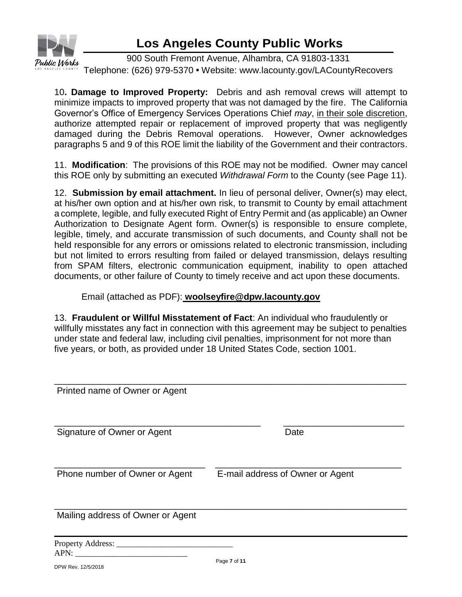

900 South Fremont Avenue, Alhambra, CA 91803-1331 Telephone: (626) 979-5370 **•** Website: www.lacounty.gov/LACountyRecovers

10**. Damage to Improved Property:** Debris and ash removal crews will attempt to minimize impacts to improved property that was not damaged by the fire. The California Governor's Office of Emergency Services Operations Chief *may*, in their sole discretion, authorize attempted repair or replacement of improved property that was negligently damaged during the Debris Removal operations. However, Owner acknowledges paragraphs 5 and 9 of this ROE limit the liability of the Government and their contractors.

11. **Modification**: The provisions of this ROE may not be modified. Owner may cancel this ROE only by submitting an executed *Withdrawal Form* to the County (see Page 11).

12. **Submission by email attachment.** In lieu of personal deliver, Owner(s) may elect, at his/her own option and at his/her own risk, to transmit to County by email attachment a complete, legible, and fully executed Right of Entry Permit and (as applicable) an Owner Authorization to Designate Agent form. Owner(s) is responsible to ensure complete, legible, timely, and accurate transmission of such documents, and County shall not be held responsible for any errors or omissions related to electronic transmission, including but not limited to errors resulting from failed or delayed transmission, delays resulting from SPAM filters, electronic communication equipment, inability to open attached documents, or other failure of County to timely receive and act upon these documents.

Email (attached as PDF): **woolseyfire@dpw.lacounty.gov**

13. **Fraudulent or Willful Misstatement of Fact**: An individual who fraudulently or willfully misstates any fact in connection with this agreement may be subject to penalties under state and federal law, including civil penalties, imprisonment for not more than five years, or both, as provided under 18 United States Code, section 1001.

| Printed name of Owner or Agent    |                                  |
|-----------------------------------|----------------------------------|
|                                   |                                  |
| Signature of Owner or Agent       | Date                             |
|                                   |                                  |
| Phone number of Owner or Agent    | E-mail address of Owner or Agent |
|                                   |                                  |
| Mailing address of Owner or Agent |                                  |
| Property Address:                 |                                  |
|                                   |                                  |

 $APN$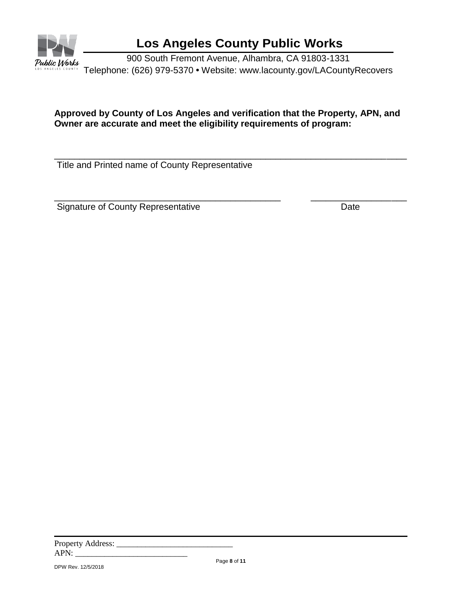

900 South Fremont Avenue, Alhambra, CA 91803-1331 Telephone: (626) 979-5370 **•** Website: www.lacounty.gov/LACountyRecovers

#### **Approved by County of Los Angeles and verification that the Property, APN, and Owner are accurate and meet the eligibility requirements of program:**

\_\_\_\_\_\_\_\_\_\_\_\_\_\_\_\_\_\_\_\_\_\_\_\_\_\_\_\_\_\_\_\_\_\_\_\_\_\_\_\_\_\_\_\_\_\_\_\_\_\_\_\_\_\_\_\_\_\_\_\_\_\_\_\_\_\_\_\_\_\_

\_\_\_\_\_\_\_\_\_\_\_\_\_\_\_\_\_\_\_\_\_\_\_\_\_\_\_\_\_\_\_\_\_\_\_\_\_\_\_\_\_\_\_\_\_ \_\_\_\_\_\_\_\_\_\_\_\_\_\_\_\_\_\_\_

Title and Printed name of County Representative

Signature of County Representative **Date** Date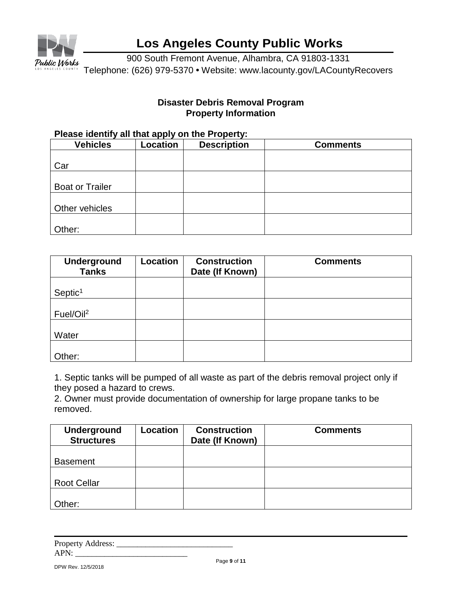

900 South Fremont Avenue, Alhambra, CA 91803-1331 Telephone: (626) 979-5370 **•** Website: www.lacounty.gov/LACountyRecovers

#### **Disaster Debris Removal Program Property Information**

#### **Please identify all that apply on the Property:**

| <b>Vehicles</b>        | Location | <b>Description</b> | <b>Comments</b> |
|------------------------|----------|--------------------|-----------------|
|                        |          |                    |                 |
| Car                    |          |                    |                 |
|                        |          |                    |                 |
| <b>Boat or Trailer</b> |          |                    |                 |
|                        |          |                    |                 |
| Other vehicles         |          |                    |                 |
|                        |          |                    |                 |
| Other:                 |          |                    |                 |

| <b>Underground</b><br><b>Tanks</b> | <b>Location</b> | <b>Construction</b><br>Date (If Known) | <b>Comments</b> |
|------------------------------------|-----------------|----------------------------------------|-----------------|
| Septic <sup>1</sup>                |                 |                                        |                 |
| Fuel/Oil <sup>2</sup>              |                 |                                        |                 |
| Water                              |                 |                                        |                 |
| Other:                             |                 |                                        |                 |

1. Septic tanks will be pumped of all waste as part of the debris removal project only if they posed a hazard to crews.

2. Owner must provide documentation of ownership for large propane tanks to be removed.

| <b>Underground</b><br><b>Structures</b> | Location | <b>Construction</b><br>Date (If Known) | <b>Comments</b> |
|-----------------------------------------|----------|----------------------------------------|-----------------|
|                                         |          |                                        |                 |
| <b>Basement</b>                         |          |                                        |                 |
|                                         |          |                                        |                 |
| <b>Root Cellar</b>                      |          |                                        |                 |
|                                         |          |                                        |                 |
| Other:                                  |          |                                        |                 |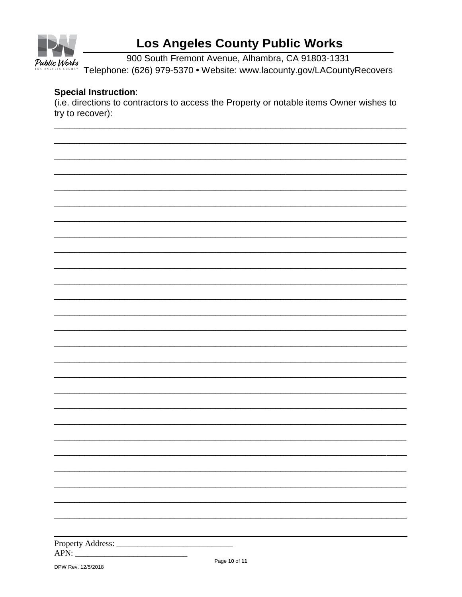

900 South Fremont Avenue, Alhambra, CA 91803-1331 Telephone: (626) 979-5370 · Website: www.lacounty.gov/LACountyRecovers

#### **Special Instruction:**

(i.e. directions to contractors to access the Property or notable items Owner wishes to try to recover):